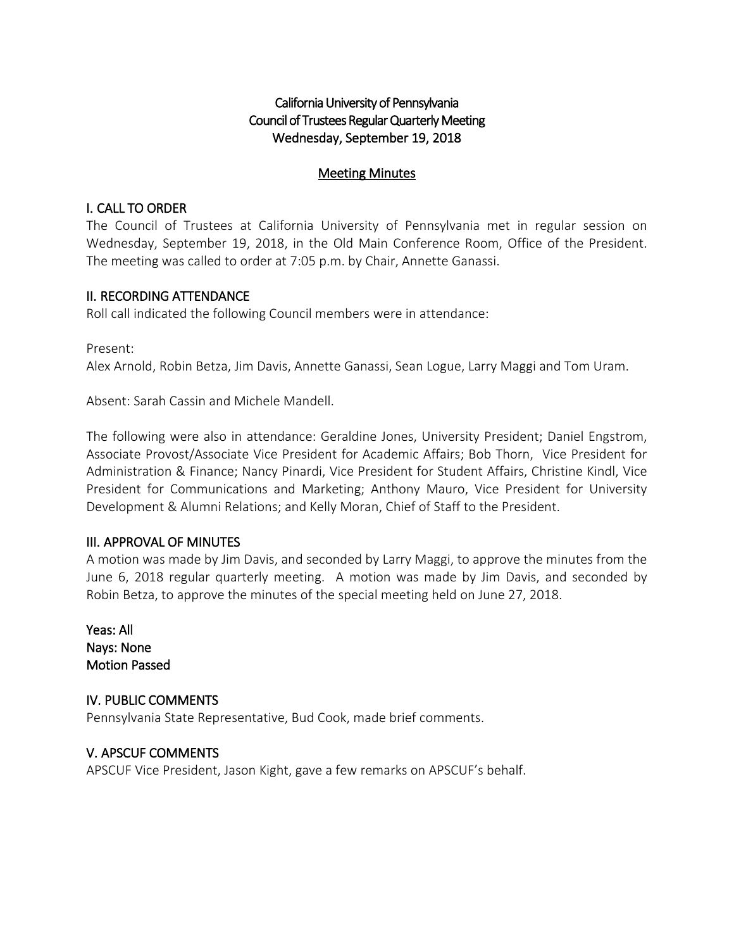# California University of Pennsylvania Council of Trustees Regular Quarterly Meeting Wednesday, September 19, 2018

## Meeting Minutes

## I. CALL TO ORDER

The Council of Trustees at California University of Pennsylvania met in regular session on Wednesday, September 19, 2018, in the Old Main Conference Room, Office of the President. The meeting was called to order at 7:05 p.m. by Chair, Annette Ganassi.

## II. RECORDING ATTENDANCE

Roll call indicated the following Council members were in attendance:

Present: Alex Arnold, Robin Betza, Jim Davis, Annette Ganassi, Sean Logue, Larry Maggi and Tom Uram.

Absent: Sarah Cassin and Michele Mandell.

The following were also in attendance: Geraldine Jones, University President; Daniel Engstrom, Associate Provost/Associate Vice President for Academic Affairs; Bob Thorn, Vice President for Administration & Finance; Nancy Pinardi, Vice President for Student Affairs, Christine Kindl, Vice President for Communications and Marketing; Anthony Mauro, Vice President for University Development & Alumni Relations; and Kelly Moran, Chief of Staff to the President.

## III. APPROVAL OF MINUTES

A motion was made by Jim Davis, and seconded by Larry Maggi, to approve the minutes from the June 6, 2018 regular quarterly meeting. A motion was made by Jim Davis, and seconded by Robin Betza, to approve the minutes of the special meeting held on June 27, 2018.

Yeas: All Nays: None Motion Passed

IV. PUBLIC COMMENTS Pennsylvania State Representative, Bud Cook, made brief comments.

## V. APSCUF COMMENTS

APSCUF Vice President, Jason Kight, gave a few remarks on APSCUF's behalf.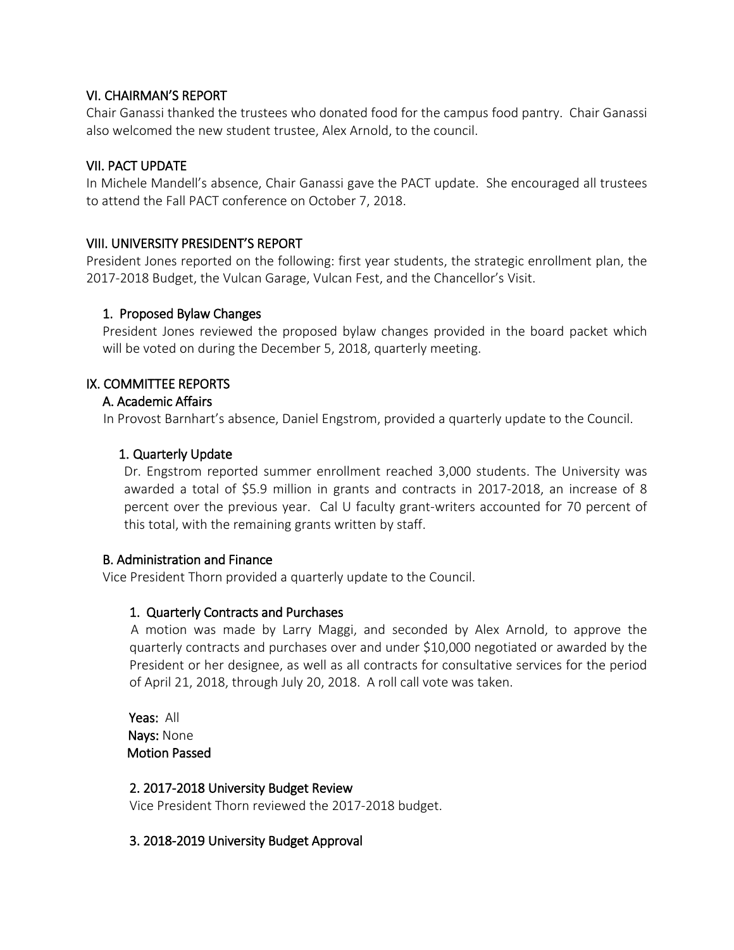## VI. CHAIRMAN'S REPORT

Chair Ganassi thanked the trustees who donated food for the campus food pantry. Chair Ganassi also welcomed the new student trustee, Alex Arnold, to the council.

## VII. PACT UPDATE

In Michele Mandell's absence, Chair Ganassi gave the PACT update. She encouraged all trustees to attend the Fall PACT conference on October 7, 2018.

## VIII. UNIVERSITY PRESIDENT'S REPORT

President Jones reported on the following: first year students, the strategic enrollment plan, the 2017-2018 Budget, the Vulcan Garage, Vulcan Fest, and the Chancellor's Visit.

## 1. Proposed Bylaw Changes

President Jones reviewed the proposed bylaw changes provided in the board packet which will be voted on during the December 5, 2018, quarterly meeting.

## IX. COMMITTEE REPORTS

## A. Academic Affairs

In Provost Barnhart's absence, Daniel Engstrom, provided a quarterly update to the Council.

## 1. Quarterly Update

Dr. Engstrom reported summer enrollment reached 3,000 students. The University was awarded a total of \$5.9 million in grants and contracts in 2017-2018, an increase of 8 percent over the previous year. Cal U faculty grant-writers accounted for 70 percent of this total, with the remaining grants written by staff.

#### B. Administration and Finance

Vice President Thorn provided a quarterly update to the Council.

## 1. Quarterly Contracts and Purchases

 A motion was made by Larry Maggi, and seconded by Alex Arnold, to approve the quarterly contracts and purchases over and under \$10,000 negotiated or awarded by the President or her designee, as well as all contracts for consultative services for the period of April 21, 2018, through July 20, 2018. A roll call vote was taken.

 Yeas: All Nays: None Motion Passed

#### 2. 2017-2018 University Budget Review

Vice President Thorn reviewed the 2017-2018 budget.

#### 3. 2018-2019 University Budget Approval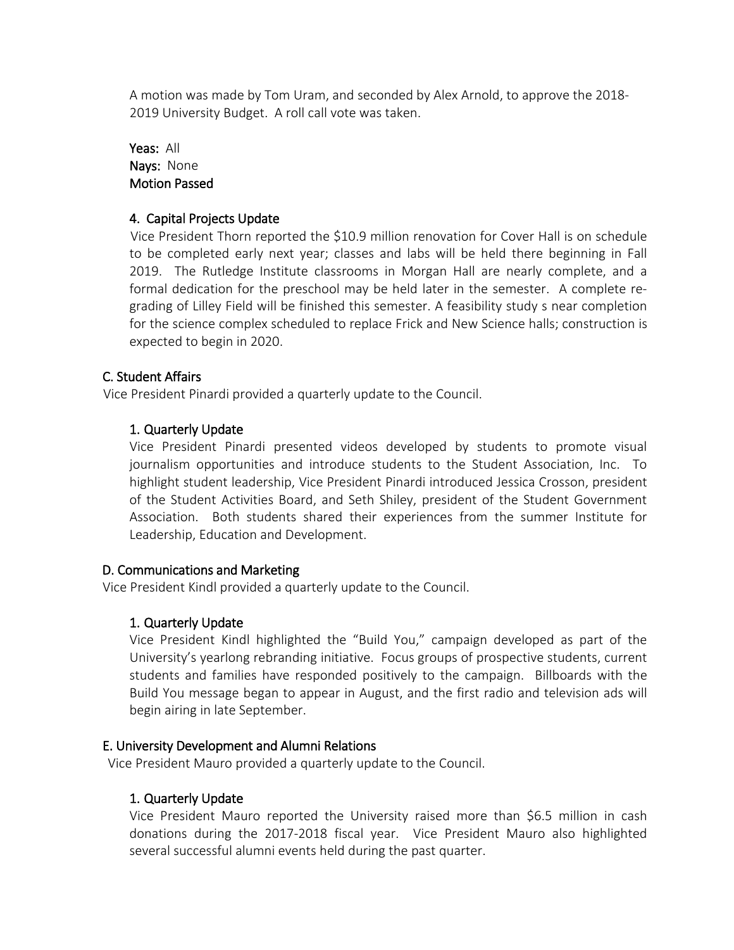A motion was made by Tom Uram, and seconded by Alex Arnold, to approve the 2018- 2019 University Budget. A roll call vote was taken.

Yeas: All Nays: None Motion Passed

## 4. Capital Projects Update

 Vice President Thorn reported the \$10.9 million renovation for Cover Hall is on schedule to be completed early next year; classes and labs will be held there beginning in Fall 2019. The Rutledge Institute classrooms in Morgan Hall are nearly complete, and a formal dedication for the preschool may be held later in the semester. A complete regrading of Lilley Field will be finished this semester. A feasibility study s near completion for the science complex scheduled to replace Frick and New Science halls; construction is expected to begin in 2020.

## C. Student Affairs

Vice President Pinardi provided a quarterly update to the Council.

# 1. Quarterly Update

Vice President Pinardi presented videos developed by students to promote visual journalism opportunities and introduce students to the Student Association, Inc. To highlight student leadership, Vice President Pinardi introduced Jessica Crosson, president of the Student Activities Board, and Seth Shiley, president of the Student Government Association. Both students shared their experiences from the summer Institute for Leadership, Education and Development.

## D. Communications and Marketing

Vice President Kindl provided a quarterly update to the Council.

## 1. Quarterly Update

Vice President Kindl highlighted the "Build You," campaign developed as part of the University's yearlong rebranding initiative. Focus groups of prospective students, current students and families have responded positively to the campaign. Billboards with the Build You message began to appear in August, and the first radio and television ads will begin airing in late September.

## E. University Development and Alumni Relations

Vice President Mauro provided a quarterly update to the Council.

## 1. Quarterly Update

Vice President Mauro reported the University raised more than \$6.5 million in cash donations during the 2017-2018 fiscal year. Vice President Mauro also highlighted several successful alumni events held during the past quarter.